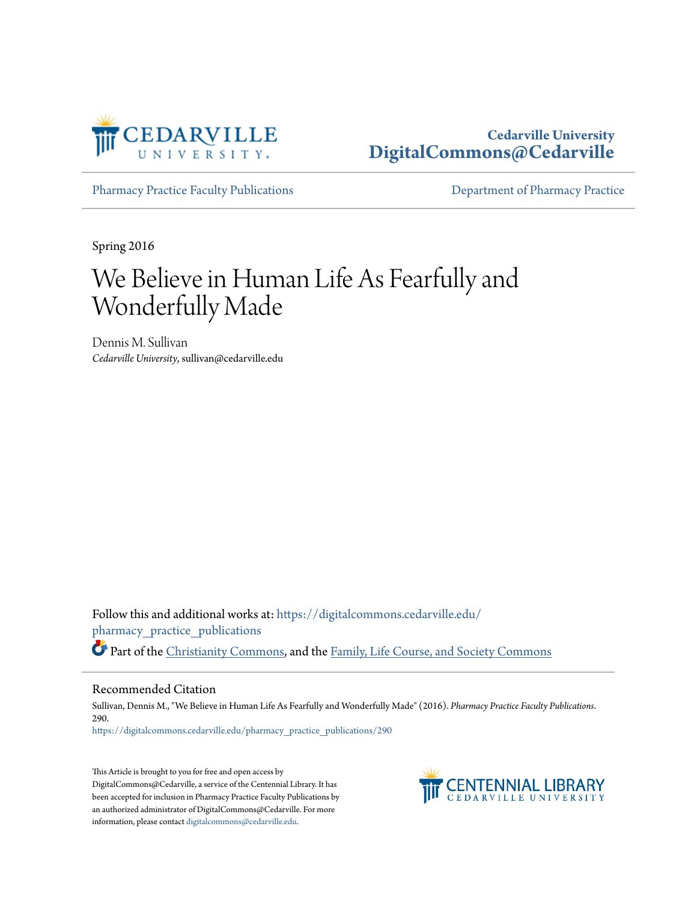

# **Cedarville University [DigitalCommons@Cedarville](https://digitalcommons.cedarville.edu?utm_source=digitalcommons.cedarville.edu%2Fpharmacy_practice_publications%2F290&utm_medium=PDF&utm_campaign=PDFCoverPages)**

[Pharmacy Practice Faculty Publications](https://digitalcommons.cedarville.edu/pharmacy_practice_publications?utm_source=digitalcommons.cedarville.edu%2Fpharmacy_practice_publications%2F290&utm_medium=PDF&utm_campaign=PDFCoverPages) [Department of Pharmacy Practice](https://digitalcommons.cedarville.edu/pharmacy_practice?utm_source=digitalcommons.cedarville.edu%2Fpharmacy_practice_publications%2F290&utm_medium=PDF&utm_campaign=PDFCoverPages)

Spring 2016

# We Believe in Human Life As Fearfully and Wonderfully Made

Dennis M. Sullivan *Cedarville University*, sullivan@cedarville.edu

Follow this and additional works at: [https://digitalcommons.cedarville.edu/](https://digitalcommons.cedarville.edu/pharmacy_practice_publications?utm_source=digitalcommons.cedarville.edu%2Fpharmacy_practice_publications%2F290&utm_medium=PDF&utm_campaign=PDFCoverPages) [pharmacy\\_practice\\_publications](https://digitalcommons.cedarville.edu/pharmacy_practice_publications?utm_source=digitalcommons.cedarville.edu%2Fpharmacy_practice_publications%2F290&utm_medium=PDF&utm_campaign=PDFCoverPages) Part of the [Christianity Commons,](http://network.bepress.com/hgg/discipline/1181?utm_source=digitalcommons.cedarville.edu%2Fpharmacy_practice_publications%2F290&utm_medium=PDF&utm_campaign=PDFCoverPages) and the [Family, Life Course, and Society Commons](http://network.bepress.com/hgg/discipline/419?utm_source=digitalcommons.cedarville.edu%2Fpharmacy_practice_publications%2F290&utm_medium=PDF&utm_campaign=PDFCoverPages)

#### Recommended Citation

Sullivan, Dennis M., "We Believe in Human Life As Fearfully and Wonderfully Made" (2016). *Pharmacy Practice Faculty Publications*. 290. [https://digitalcommons.cedarville.edu/pharmacy\\_practice\\_publications/290](https://digitalcommons.cedarville.edu/pharmacy_practice_publications/290?utm_source=digitalcommons.cedarville.edu%2Fpharmacy_practice_publications%2F290&utm_medium=PDF&utm_campaign=PDFCoverPages)

This Article is brought to you for free and open access by DigitalCommons@Cedarville, a service of the Centennial Library. It has been accepted for inclusion in Pharmacy Practice Faculty Publications by an authorized administrator of DigitalCommons@Cedarville. For more information, please contact [digitalcommons@cedarville.edu.](mailto:digitalcommons@cedarville.edu)

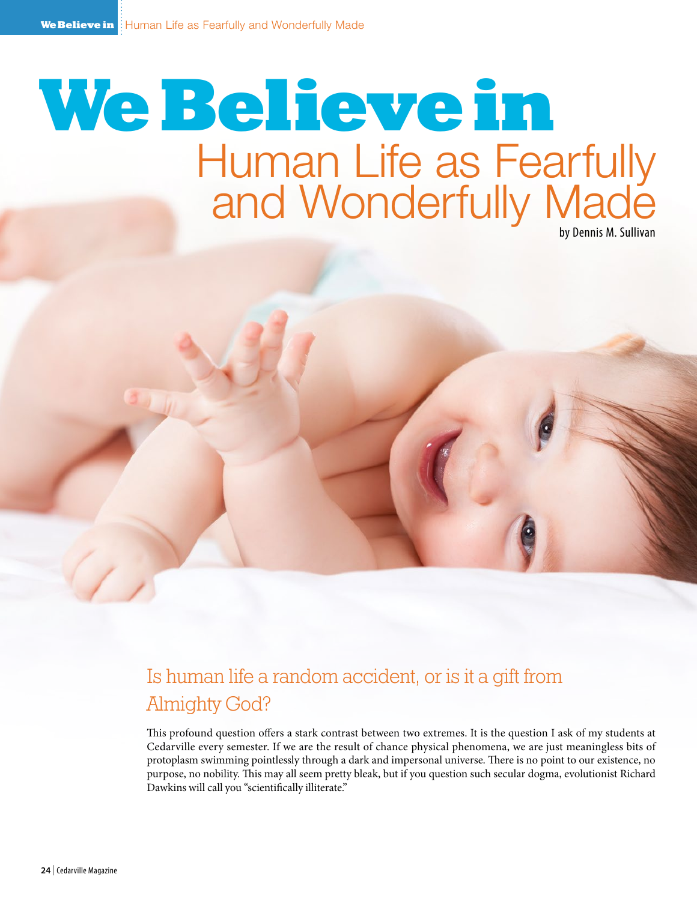# Human Life as Fearfully and Wonderfully Made by Dennis M. Sullivan **We Believe in**

Is human life a random accident, or is it a gift from Almighty God?

This profound question offers a stark contrast between two extremes. It is the question I ask of my students at Cedarville every semester. If we are the result of chance physical phenomena, we are just meaningless bits of protoplasm swimming pointlessly through a dark and impersonal universe. There is no point to our existence, no purpose, no nobility. This may all seem pretty bleak, but if you question such secular dogma, evolutionist Richard Dawkins will call you "scientifically illiterate."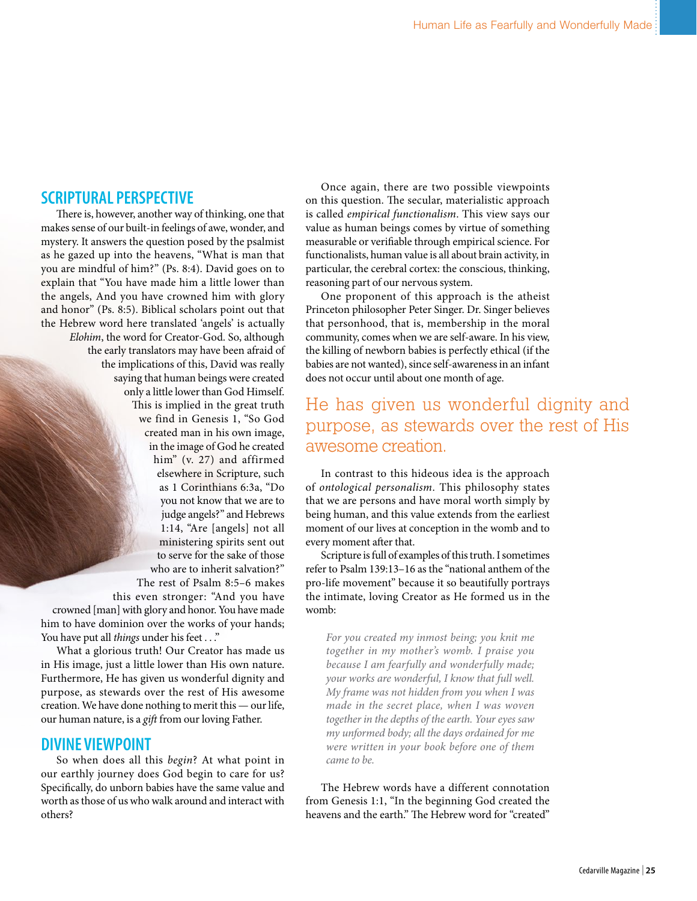## **SCRIPTURAL PERSPECTIVE**

There is, however, another way of thinking, one that makes sense of our built-in feelings of awe, wonder, and mystery. It answers the question posed by the psalmist as he gazed up into the heavens, "What is man that you are mindful of him?" (Ps. 8:4). David goes on to explain that "You have made him a little lower than the angels, And you have crowned him with glory and honor" (Ps. 8:5). Biblical scholars point out that the Hebrew word here translated 'angels' is actually *Elohim*, the word for Creator-God. So, although the early translators may have been afraid of the implications of this, David was really saying that human beings were created only a little lower than God Himself. This is implied in the great truth we find in Genesis 1, "So God created man in his own image, in the image of God he created him" (v. 27) and affirmed elsewhere in Scripture, such as 1 Corinthians 6:3a, "Do you not know that we are to judge angels?" and Hebrews 1:14, "Are [angels] not all ministering spirits sent out to serve for the sake of those who are to inherit salvation?" The rest of Psalm 8:5–6 makes this even stronger: "And you have

crowned [man] with glory and honor. You have made him to have dominion over the works of your hands; You have put all *things* under his feet . . ."

What a glorious truth! Our Creator has made us in His image, just a little lower than His own nature. Furthermore, He has given us wonderful dignity and purpose, as stewards over the rest of His awesome creation. We have done nothing to merit this — our life, our human nature, is a *gift* from our loving Father.

#### **DIVINE VIEWPOINT**

So when does all this *begin*? At what point in our earthly journey does God begin to care for us? Specifically, do unborn babies have the same value and worth as those of us who walk around and interact with others?

Once again, there are two possible viewpoints on this question. The secular, materialistic approach is called *empirical functionalism*. This view says our value as human beings comes by virtue of something measurable or verifiable through empirical science. For functionalists, human value is all about brain activity, in particular, the cerebral cortex: the conscious, thinking, reasoning part of our nervous system.

One proponent of this approach is the atheist Princeton philosopher Peter Singer. Dr. Singer believes that personhood, that is, membership in the moral community, comes when we are self-aware. In his view, the killing of newborn babies is perfectly ethical (if the babies are not wanted), since self-awareness in an infant does not occur until about one month of age.

# He has given us wonderful dignity and purpose, as stewards over the rest of His awesome creation.

In contrast to this hideous idea is the approach of *ontological personalism*. This philosophy states that we are persons and have moral worth simply by being human, and this value extends from the earliest moment of our lives at conception in the womb and to every moment after that.

Scripture is full of examples of this truth. I sometimes refer to Psalm 139:13–16 as the "national anthem of the pro-life movement" because it so beautifully portrays the intimate, loving Creator as He formed us in the womb:

*For you created my inmost being; you knit me together in my mother's womb. I praise you because I am fearfully and wonderfully made; your works are wonderful, I know that full well. My frame was not hidden from you when I was made in the secret place, when I was woven together in the depths of the earth. Your eyes saw my unformed body; all the days ordained for me were written in your book before one of them came to be.*

The Hebrew words have a different connotation from Genesis 1:1, "In the beginning God created the heavens and the earth." The Hebrew word for "created"